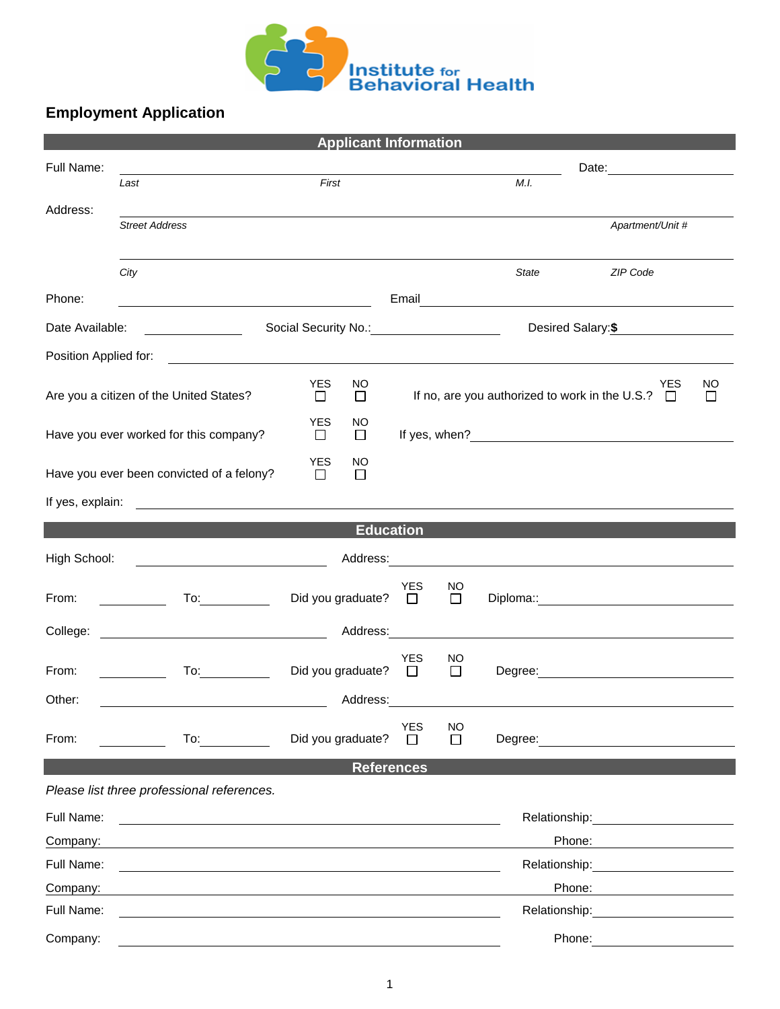

## **Employment Application**

| <b>Applicant Information</b>                                                                                                                    |                                                                                                                                                                                                                                |                             |                  |                              |                                      |                                                                                                                                                                                                                                |                  |         |  |  |
|-------------------------------------------------------------------------------------------------------------------------------------------------|--------------------------------------------------------------------------------------------------------------------------------------------------------------------------------------------------------------------------------|-----------------------------|------------------|------------------------------|--------------------------------------|--------------------------------------------------------------------------------------------------------------------------------------------------------------------------------------------------------------------------------|------------------|---------|--|--|
| Full Name:                                                                                                                                      |                                                                                                                                                                                                                                |                             |                  |                              | Date: <u>_______________________</u> |                                                                                                                                                                                                                                |                  |         |  |  |
|                                                                                                                                                 | Last                                                                                                                                                                                                                           | First                       |                  |                              |                                      | M.I.                                                                                                                                                                                                                           |                  |         |  |  |
| Address:                                                                                                                                        | <b>Street Address</b>                                                                                                                                                                                                          |                             |                  |                              |                                      |                                                                                                                                                                                                                                | Apartment/Unit # |         |  |  |
|                                                                                                                                                 |                                                                                                                                                                                                                                |                             |                  |                              |                                      |                                                                                                                                                                                                                                |                  |         |  |  |
|                                                                                                                                                 | City                                                                                                                                                                                                                           |                             |                  |                              |                                      | State                                                                                                                                                                                                                          | ZIP Code         |         |  |  |
| Phone:                                                                                                                                          | <u> 1989 - Johann Stoff, fransk politik (d. 1989)</u>                                                                                                                                                                          |                             |                  |                              |                                      |                                                                                                                                                                                                                                |                  |         |  |  |
| Date Available:                                                                                                                                 |                                                                                                                                                                                                                                |                             |                  |                              | Desired Salary: \$                   |                                                                                                                                                                                                                                |                  |         |  |  |
| Position Applied for:<br><u> 1989 - Johann Stoff, deutscher Stoff, der Stoff, deutscher Stoff, der Stoff, der Stoff, der Stoff, der Stoff, </u> |                                                                                                                                                                                                                                |                             |                  |                              |                                      |                                                                                                                                                                                                                                |                  |         |  |  |
|                                                                                                                                                 | Are you a citizen of the United States?                                                                                                                                                                                        | <b>YES</b><br>$\Box$        | NO.<br>$\Box$    |                              |                                      | If no, are you authorized to work in the U.S.? $\Box$                                                                                                                                                                          | <b>YES</b>       | NO<br>⊔ |  |  |
| Have you ever worked for this company?                                                                                                          |                                                                                                                                                                                                                                | <b>YES</b><br>$\Box$        | NO.<br>$\Box$    |                              |                                      |                                                                                                                                                                                                                                |                  |         |  |  |
|                                                                                                                                                 | Have you ever been convicted of a felony?                                                                                                                                                                                      | <b>YES</b><br>$\Box$        | NO<br>□          |                              |                                      |                                                                                                                                                                                                                                |                  |         |  |  |
|                                                                                                                                                 |                                                                                                                                                                                                                                |                             |                  |                              |                                      |                                                                                                                                                                                                                                |                  |         |  |  |
|                                                                                                                                                 |                                                                                                                                                                                                                                |                             | <b>Education</b> |                              |                                      |                                                                                                                                                                                                                                |                  |         |  |  |
| High School:                                                                                                                                    |                                                                                                                                                                                                                                |                             |                  |                              |                                      |                                                                                                                                                                                                                                |                  |         |  |  |
| From:                                                                                                                                           |                                                                                                                                                                                                                                | Did you graduate? $\square$ |                  | <b>YES</b>                   | NO<br>$\Box$                         |                                                                                                                                                                                                                                |                  |         |  |  |
|                                                                                                                                                 |                                                                                                                                                                                                                                |                             |                  |                              |                                      |                                                                                                                                                                                                                                |                  |         |  |  |
| From:                                                                                                                                           | To: the contract of the contract of the contract of the contract of the contract of the contract of the contract of the contract of the contract of the contract of the contract of the contract of the contract of the contra | Did you graduate? $\Box$    |                  | <b>YES</b>                   | NO.<br>$\Box$                        | Degree: National Accounts and Accounts and Accounts and Accounts and Accounts and Accounts and Accounts and Accounts and Accounts and Accounts and Accounts and Accounts and Accounts and Accounts and Accounts and Accounts a |                  |         |  |  |
| Other:                                                                                                                                          |                                                                                                                                                                                                                                |                             | Address:         |                              |                                      |                                                                                                                                                                                                                                |                  |         |  |  |
| From:                                                                                                                                           | To: the contract of the contract of the contract of the contract of the contract of the contract of the contract of the contract of the contract of the contract of the contract of the contract of the contract of the contra | Did you graduate?           |                  | <b>YES</b><br>$\mathbb{R}^n$ | <b>NO</b><br>$\Box$                  | Degree:                                                                                                                                                                                                                        |                  |         |  |  |
| <b>References</b>                                                                                                                               |                                                                                                                                                                                                                                |                             |                  |                              |                                      |                                                                                                                                                                                                                                |                  |         |  |  |
|                                                                                                                                                 | Please list three professional references.                                                                                                                                                                                     |                             |                  |                              |                                      |                                                                                                                                                                                                                                |                  |         |  |  |
| Full Name:                                                                                                                                      |                                                                                                                                                                                                                                |                             |                  |                              |                                      | Relationship:<br><u> 1980 - Jan Samuel Barbara, político e a f</u>                                                                                                                                                             |                  |         |  |  |
| Company:                                                                                                                                        |                                                                                                                                                                                                                                |                             |                  |                              |                                      | Phone:                                                                                                                                                                                                                         |                  |         |  |  |
| Full Name:                                                                                                                                      |                                                                                                                                                                                                                                |                             |                  |                              |                                      | Relationship:                                                                                                                                                                                                                  |                  |         |  |  |
| Company:                                                                                                                                        |                                                                                                                                                                                                                                |                             |                  |                              |                                      | Phone:                                                                                                                                                                                                                         |                  |         |  |  |
| Full Name:                                                                                                                                      |                                                                                                                                                                                                                                |                             |                  |                              |                                      | Relationship:                                                                                                                                                                                                                  |                  |         |  |  |
| Company:                                                                                                                                        |                                                                                                                                                                                                                                |                             |                  |                              |                                      | Phone:                                                                                                                                                                                                                         |                  |         |  |  |